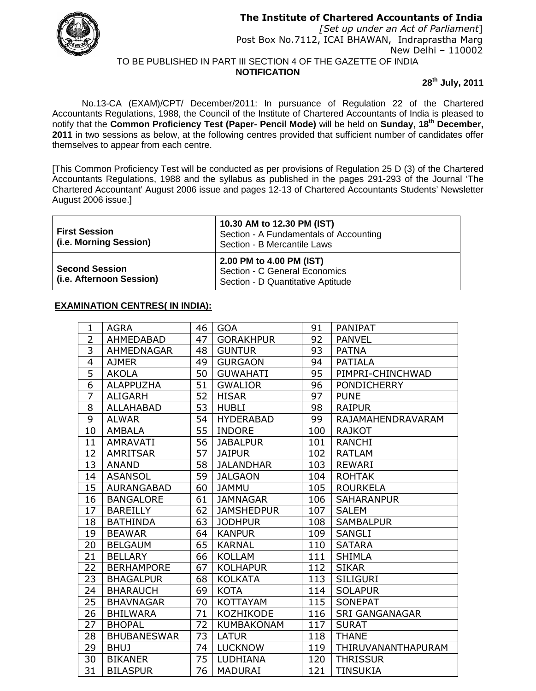

**The Institute of Chartered Accountants of India**

*[Set up under an Act of Parliament*] Post Box No.7112, ICAI BHAWAN, Indraprastha Marg New Delhi – 110002 TO BE PUBLISHED IN PART III SECTION 4 OF THE GAZETTE OF INDIA

**NOTIFICATION**

**28 th July, 2011**

No.13-CA (EXAM)/CPT/ December/2011: In pursuance of Regulation 22 of the Chartered Accountants Regulations, 1988, the Council of the Institute of Chartered Accountants of India is pleased to notify that the **Common Proficiency Test (Paper- Pencil Mode)** will be held on **Sunday, 18 th December, 2011** in two sessions as below, at the following centres provided that sufficient number of candidates offer themselves to appear from each centre.

[This Common Proficiency Test will be conducted as per provisions of Regulation 25 D (3) of the Chartered Accountants Regulations, 1988 and the syllabus as published in the pages 291-293 of the Journal 'The Chartered Accountant' August 2006 issue and pages 12-13 of Chartered Accountants Students' Newsletter August 2006 issue.]

| <b>First Session</b><br>(i.e. Morning Session)    | 10.30 AM to 12.30 PM (IST)<br>Section - A Fundamentals of Accounting<br>Section - B Mercantile Laws |  |
|---------------------------------------------------|-----------------------------------------------------------------------------------------------------|--|
| <b>Second Session</b><br>(i.e. Afternoon Session) | 2.00 PM to 4.00 PM (IST)<br>Section - C General Economics<br>Section - D Quantitative Aptitude      |  |

## **EXAMINATION CENTRES( IN INDIA):**

| 1              | <b>AGRA</b>        | 46 | <b>GOA</b>        | 91  | <b>PANIPAT</b>        |
|----------------|--------------------|----|-------------------|-----|-----------------------|
| 2              | AHMEDABAD          | 47 | <b>GORAKHPUR</b>  | 92  | <b>PANVEL</b>         |
| $\overline{3}$ | AHMEDNAGAR         | 48 | <b>GUNTUR</b>     | 93  | <b>PATNA</b>          |
| 4              | <b>AJMER</b>       | 49 | <b>GURGAON</b>    | 94  | <b>PATIALA</b>        |
| 5              | <b>AKOLA</b>       | 50 | <b>GUWAHATI</b>   | 95  | PIMPRI-CHINCHWAD      |
| 6              | <b>ALAPPUZHA</b>   | 51 | <b>GWALIOR</b>    | 96  | <b>PONDICHERRY</b>    |
| $\overline{7}$ | <b>ALIGARH</b>     | 52 | <b>HISAR</b>      | 97  | <b>PUNE</b>           |
| 8              | <b>ALLAHABAD</b>   | 53 | <b>HUBLI</b>      | 98  | <b>RAIPUR</b>         |
| 9              | <b>ALWAR</b>       | 54 | <b>HYDERABAD</b>  | 99  | RAJAMAHENDRAVARAM     |
| 10             | <b>AMBALA</b>      | 55 | <b>INDORE</b>     | 100 | <b>RAJKOT</b>         |
| 11             | <b>AMRAVATI</b>    | 56 | <b>JABALPUR</b>   | 101 | RANCHI                |
| 12             | <b>AMRITSAR</b>    | 57 | <b>JAIPUR</b>     | 102 | <b>RATLAM</b>         |
| 13             | <b>ANAND</b>       | 58 | <b>JALANDHAR</b>  | 103 | <b>REWARI</b>         |
| 14             | <b>ASANSOL</b>     | 59 | <b>JALGAON</b>    | 104 | <b>ROHTAK</b>         |
| 15             | <b>AURANGABAD</b>  | 60 | <b>JAMMU</b>      | 105 | <b>ROURKELA</b>       |
| 16             | <b>BANGALORE</b>   | 61 | <b>JAMNAGAR</b>   | 106 | <b>SAHARANPUR</b>     |
| 17             | <b>BAREILLY</b>    | 62 | <b>JAMSHEDPUR</b> | 107 | <b>SALEM</b>          |
| 18             | <b>BATHINDA</b>    | 63 | <b>JODHPUR</b>    | 108 | <b>SAMBALPUR</b>      |
| 19             | <b>BEAWAR</b>      | 64 | <b>KANPUR</b>     | 109 | <b>SANGLI</b>         |
| 20             | <b>BELGAUM</b>     | 65 | <b>KARNAL</b>     | 110 | <b>SATARA</b>         |
| 21             | <b>BELLARY</b>     | 66 | <b>KOLLAM</b>     | 111 | <b>SHIMLA</b>         |
| 22             | <b>BERHAMPORE</b>  | 67 | <b>KOLHAPUR</b>   | 112 | <b>SIKAR</b>          |
| 23             | <b>BHAGALPUR</b>   | 68 | <b>KOLKATA</b>    | 113 | <b>SILIGURI</b>       |
| 24             | <b>BHARAUCH</b>    | 69 | <b>KOTA</b>       | 114 | <b>SOLAPUR</b>        |
| 25             | <b>BHAVNAGAR</b>   | 70 | <b>KOTTAYAM</b>   | 115 | <b>SONEPAT</b>        |
| 26             | <b>BHILWARA</b>    | 71 | KOZHIKODE         | 116 | <b>SRI GANGANAGAR</b> |
| 27             | <b>BHOPAL</b>      | 72 | <b>KUMBAKONAM</b> | 117 | <b>SURAT</b>          |
| 28             | <b>BHUBANESWAR</b> | 73 | <b>LATUR</b>      | 118 | <b>THANE</b>          |
| 29             | <b>BHUJ</b>        | 74 | <b>LUCKNOW</b>    | 119 | THIRUVANANTHAPURAM    |
| 30             | <b>BIKANER</b>     | 75 | LUDHIANA          | 120 | <b>THRISSUR</b>       |
| 31             | <b>BILASPUR</b>    | 76 | <b>MADURAI</b>    | 121 | <b>TINSUKIA</b>       |